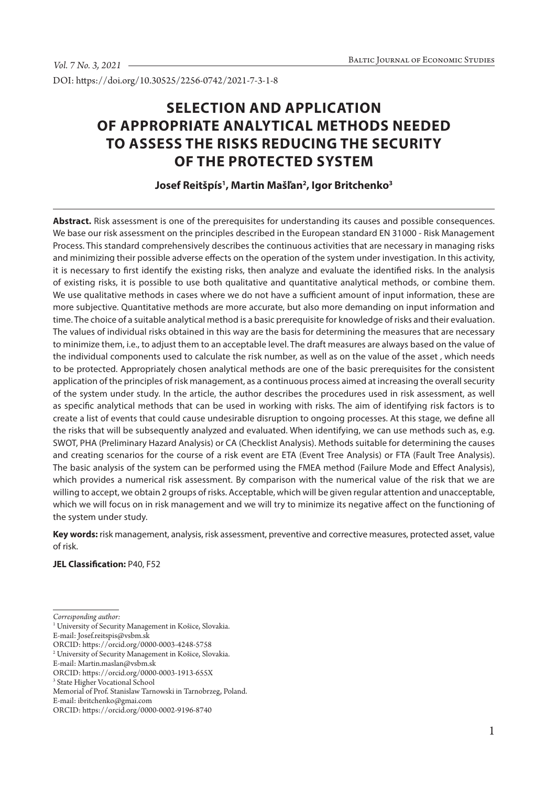DOI: https://doi.org/10.30525/2256-0742/2021-7-3-1-8

# **SELECTION AND APPLICATION OF APPROPRIATE ANALYTICAL METHODS NEEDED TO ASSESS THE RISKS REDUCING THE SECURITY OF THE PROTECTED SYSTEM**

# **Josef Reitšpís1 , Martin Mašľan2 , Igor Britchenko3**

**Abstract.** Risk assessment is one of the prerequisites for understanding its causes and possible consequences. We base our risk assessment on the principles described in the European standard EN 31000 - Risk Management Process. This standard comprehensively describes the continuous activities that are necessary in managing risks and minimizing their possible adverse effects on the operation of the system under investigation. In this activity, it is necessary to first identify the existing risks, then analyze and evaluate the identified risks. In the analysis of existing risks, it is possible to use both qualitative and quantitative analytical methods, or combine them. We use qualitative methods in cases where we do not have a sufficient amount of input information, these are more subjective. Quantitative methods are more accurate, but also more demanding on input information and time. The choice of a suitable analytical method is a basic prerequisite for knowledge of risks and their evaluation. The values of individual risks obtained in this way are the basis for determining the measures that are necessary to minimize them, i.e., to adjust them to an acceptable level. The draft measures are always based on the value of the individual components used to calculate the risk number, as well as on the value of the asset , which needs to be protected. Appropriately chosen analytical methods are one of the basic prerequisites for the consistent application of the principles of risk management, as a continuous process aimed at increasing the overall security of the system under study. In the article, the author describes the procedures used in risk assessment, as well as specific analytical methods that can be used in working with risks. The aim of identifying risk factors is to create a list of events that could cause undesirable disruption to ongoing processes. At this stage, we define all the risks that will be subsequently analyzed and evaluated. When identifying, we can use methods such as, e.g. SWOT, PHA (Preliminary Hazard Analysis) or CA (Checklist Analysis). Methods suitable for determining the causes and creating scenarios for the course of a risk event are ETA (Event Tree Analysis) or FTA (Fault Tree Analysis). The basic analysis of the system can be performed using the FMEA method (Failure Mode and Effect Analysis), which provides a numerical risk assessment. By comparison with the numerical value of the risk that we are willing to accept, we obtain 2 groups of risks. Acceptable, which will be given regular attention and unacceptable, which we will focus on in risk management and we will try to minimize its negative affect on the functioning of the system under study.

**Key words:** risk management, analysis, risk assessment, preventive and corrective measures, protected asset, value of risk.

#### **JEL Classification:** P40, F52

*Corresponding author:*

<sup>1</sup> University of Security Management in Košice, Slovakia.

E-mail: Josef.reitspis@vsbm.sk

ORCID: https://orcid.org/0000-0003-4248-5758

<sup>2</sup> University of Security Management in Košice, Slovakia.

E-mail: Martin.maslan@vsbm.sk

ORCID: https://orcid.org/0000-0003-1913-655X

<sup>3</sup> State Higher Vocational School

Memorial of Prof. Stanislaw Tarnowski in Tarnobrzeg, Poland.

E-mail: ibritchenko@gmai.com

ORCID: https://orcid.org/0000-0002-9196-8740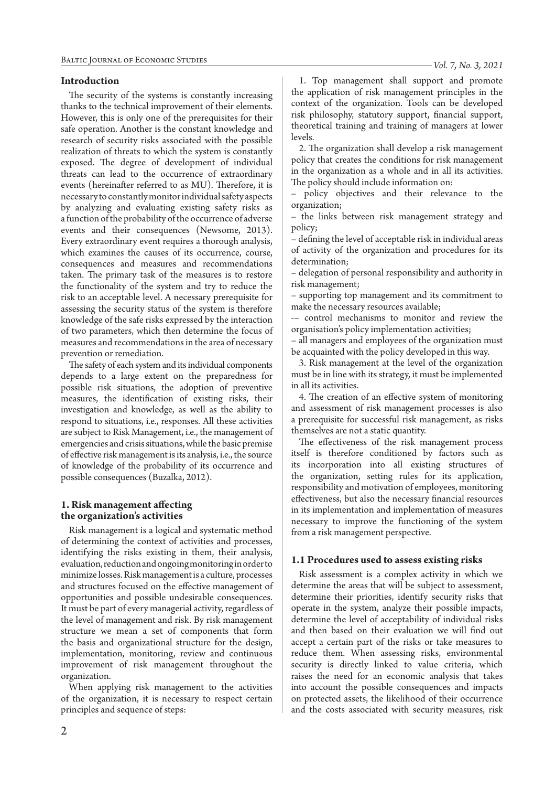#### **Introduction**

The security of the systems is constantly increasing thanks to the technical improvement of their elements. However, this is only one of the prerequisites for their safe operation. Another is the constant knowledge and research of security risks associated with the possible realization of threats to which the system is constantly exposed. The degree of development of individual threats can lead to the occurrence of extraordinary events (hereinafter referred to as MU). Therefore, it is necessary to constantly monitor individual safety aspects by analyzing and evaluating existing safety risks as a function of the probability of the occurrence of adverse events and their consequences (Newsome, 2013). Every extraordinary event requires a thorough analysis, which examines the causes of its occurrence, course, consequences and measures and recommendations taken. The primary task of the measures is to restore the functionality of the system and try to reduce the risk to an acceptable level. A necessary prerequisite for assessing the security status of the system is therefore knowledge of the safe risks expressed by the interaction of two parameters, which then determine the focus of measures and recommendations in the area of necessary prevention or remediation.

The safety of each system and its individual components depends to a large extent on the preparedness for possible risk situations, the adoption of preventive measures, the identification of existing risks, their investigation and knowledge, as well as the ability to respond to situations, i.e., responses. All these activities are subject to Risk Management, i.e., the management of emergencies and crisis situations, while the basic premise of effective risk management is its analysis, i.e., the source of knowledge of the probability of its occurrence and possible consequences (Buzalka, 2012).

#### **1. Risk management affecting the organization's activities**

Risk management is a logical and systematic method of determining the context of activities and processes, identifying the risks existing in them, their analysis, evaluation, reduction and ongoing monitoring in order to minimize losses. Risk management is a culture, processes and structures focused on the effective management of opportunities and possible undesirable consequences. It must be part of every managerial activity, regardless of the level of management and risk. By risk management structure we mean a set of components that form the basis and organizational structure for the design, implementation, monitoring, review and continuous improvement of risk management throughout the organization.

When applying risk management to the activities of the organization, it is necessary to respect certain principles and sequence of steps:

1. Top management shall support and promote the application of risk management principles in the context of the organization. Tools can be developed risk philosophy, statutory support, financial support, theoretical training and training of managers at lower levels.

2. The organization shall develop a risk management policy that creates the conditions for risk management in the organization as a whole and in all its activities. The policy should include information on:

– policy objectives and their relevance to the organization;

– the links between risk management strategy and policy;

– defining the level of acceptable risk in individual areas of activity of the organization and procedures for its determination;

– delegation of personal responsibility and authority in risk management;

– supporting top management and its commitment to make the necessary resources available;

-– control mechanisms to monitor and review the organisation's policy implementation activities;

– all managers and employees of the organization must be acquainted with the policy developed in this way.

3. Risk management at the level of the organization must be in line with its strategy, it must be implemented in all its activities.

4. The creation of an effective system of monitoring and assessment of risk management processes is also a prerequisite for successful risk management, as risks themselves are not a static quantity.

The effectiveness of the risk management process itself is therefore conditioned by factors such as its incorporation into all existing structures of the organization, setting rules for its application, responsibility and motivation of employees, monitoring effectiveness, but also the necessary financial resources in its implementation and implementation of measures necessary to improve the functioning of the system from a risk management perspective.

#### **1.1 Procedures used to assess existing risks**

Risk assessment is a complex activity in which we determine the areas that will be subject to assessment, determine their priorities, identify security risks that operate in the system, analyze their possible impacts, determine the level of acceptability of individual risks and then based on their evaluation we will find out accept a certain part of the risks or take measures to reduce them. When assessing risks, environmental security is directly linked to value criteria, which raises the need for an economic analysis that takes into account the possible consequences and impacts on protected assets, the likelihood of their occurrence and the costs associated with security measures, risk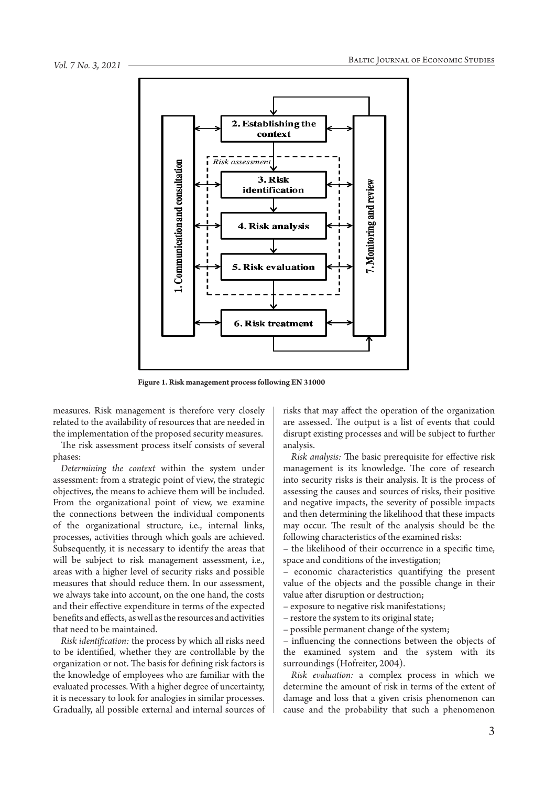

**Figure 1. Risk management process following EN 31000**

measures. Risk management is therefore very closely related to the availability of resources that are needed in the implementation of the proposed security measures.

The risk assessment process itself consists of several phases:

*Determining the context* within the system under assessment: from a strategic point of view, the strategic objectives, the means to achieve them will be included. From the organizational point of view, we examine the connections between the individual components of the organizational structure, i.e., internal links, processes, activities through which goals are achieved. Subsequently, it is necessary to identify the areas that will be subject to risk management assessment, i.e., areas with a higher level of security risks and possible measures that should reduce them. In our assessment, we always take into account, on the one hand, the costs and their effective expenditure in terms of the expected benefits and effects, as well as the resources and activities that need to be maintained.

*Risk identification:* the process by which all risks need to be identified, whether they are controllable by the organization or not. The basis for defining risk factors is the knowledge of employees who are familiar with the evaluated processes. With a higher degree of uncertainty, it is necessary to look for analogies in similar processes. Gradually, all possible external and internal sources of risks that may affect the operation of the organization are assessed. The output is a list of events that could disrupt existing processes and will be subject to further analysis.

*Risk analysis:* The basic prerequisite for effective risk management is its knowledge. The core of research into security risks is their analysis. It is the process of assessing the causes and sources of risks, their positive and negative impacts, the severity of possible impacts and then determining the likelihood that these impacts may occur. The result of the analysis should be the following characteristics of the examined risks:

– the likelihood of their occurrence in a specific time, space and conditions of the investigation;

– economic characteristics quantifying the present value of the objects and the possible change in their value after disruption or destruction;

– exposure to negative risk manifestations;

– restore the system to its original state;

– possible permanent change of the system;

influencing the connections between the objects of the examined system and the system with its surroundings (Hofreiter, 2004).

*Risk evaluation:* a complex process in which we determine the amount of risk in terms of the extent of damage and loss that a given crisis phenomenon can cause and the probability that such a phenomenon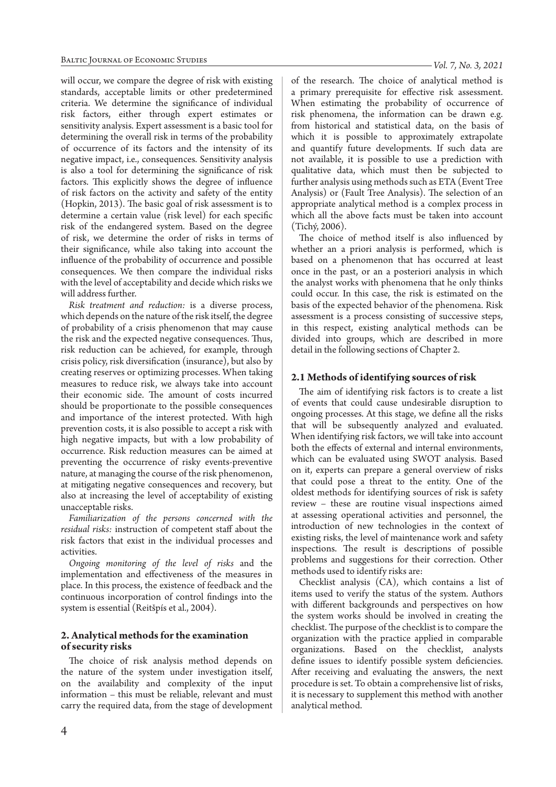will occur, we compare the degree of risk with existing standards, acceptable limits or other predetermined criteria. We determine the significance of individual risk factors, either through expert estimates or sensitivity analysis. Expert assessment is a basic tool for determining the overall risk in terms of the probability of occurrence of its factors and the intensity of its negative impact, i.e., consequences. Sensitivity analysis is also a tool for determining the significance of risk factors. This explicitly shows the degree of influence of risk factors on the activity and safety of the entity (Hopkin, 2013). The basic goal of risk assessment is to determine a certain value (risk level) for each specific risk of the endangered system. Based on the degree of risk, we determine the order of risks in terms of their significance, while also taking into account the influence of the probability of occurrence and possible consequences. We then compare the individual risks with the level of acceptability and decide which risks we will address further.

*Risk treatment and reduction:* is a diverse process, which depends on the nature of the risk itself, the degree of probability of a crisis phenomenon that may cause the risk and the expected negative consequences. Thus, risk reduction can be achieved, for example, through crisis policy, risk diversification (insurance), but also by creating reserves or optimizing processes. When taking measures to reduce risk, we always take into account their economic side. The amount of costs incurred should be proportionate to the possible consequences and importance of the interest protected. With high prevention costs, it is also possible to accept a risk with high negative impacts, but with a low probability of occurrence. Risk reduction measures can be aimed at preventing the occurrence of risky events-preventive nature, at managing the course of the risk phenomenon, at mitigating negative consequences and recovery, but also at increasing the level of acceptability of existing unacceptable risks.

*Familiarization of the persons concerned with the residual risks:* instruction of competent staff about the risk factors that exist in the individual processes and activities.

*Ongoing monitoring of the level of risks* and the implementation and effectiveness of the measures in place. In this process, the existence of feedback and the continuous incorporation of control findings into the system is essential (Reitšpís et al., 2004).

## **2. Analytical methods for the examination of security risks**

The choice of risk analysis method depends on the nature of the system under investigation itself, on the availability and complexity of the input information – this must be reliable, relevant and must carry the required data, from the stage of development of the research. The choice of analytical method is a primary prerequisite for effective risk assessment. When estimating the probability of occurrence of risk phenomena, the information can be drawn e.g. from historical and statistical data, on the basis of which it is possible to approximately extrapolate and quantify future developments. If such data are not available, it is possible to use a prediction with qualitative data, which must then be subjected to further analysis using methods such as ETA (Event Tree Analysis) or (Fault Tree Analysis). The selection of an appropriate analytical method is a complex process in which all the above facts must be taken into account (Tichý, 2006).

The choice of method itself is also influenced by whether an a priori analysis is performed, which is based on a phenomenon that has occurred at least once in the past, or an a posteriori analysis in which the analyst works with phenomena that he only thinks could occur. In this case, the risk is estimated on the basis of the expected behavior of the phenomena. Risk assessment is a process consisting of successive steps, in this respect, existing analytical methods can be divided into groups, which are described in more detail in the following sections of Chapter 2.

#### **2.1 Methods of identifying sources of risk**

The aim of identifying risk factors is to create a list of events that could cause undesirable disruption to ongoing processes. At this stage, we define all the risks that will be subsequently analyzed and evaluated. When identifying risk factors, we will take into account both the effects of external and internal environments, which can be evaluated using SWOT analysis. Based on it, experts can prepare a general overview of risks that could pose a threat to the entity. One of the oldest methods for identifying sources of risk is safety review – these are routine visual inspections aimed at assessing operational activities and personnel, the introduction of new technologies in the context of existing risks, the level of maintenance work and safety inspections. The result is descriptions of possible problems and suggestions for their correction. Other methods used to identify risks are:

Checklist analysis (CA), which contains a list of items used to verify the status of the system. Authors with different backgrounds and perspectives on how the system works should be involved in creating the checklist. The purpose of the checklist is to compare the organization with the practice applied in comparable organizations. Based on the checklist, analysts define issues to identify possible system deficiencies. After receiving and evaluating the answers, the next procedure is set. To obtain a comprehensive list of risks, it is necessary to supplement this method with another analytical method.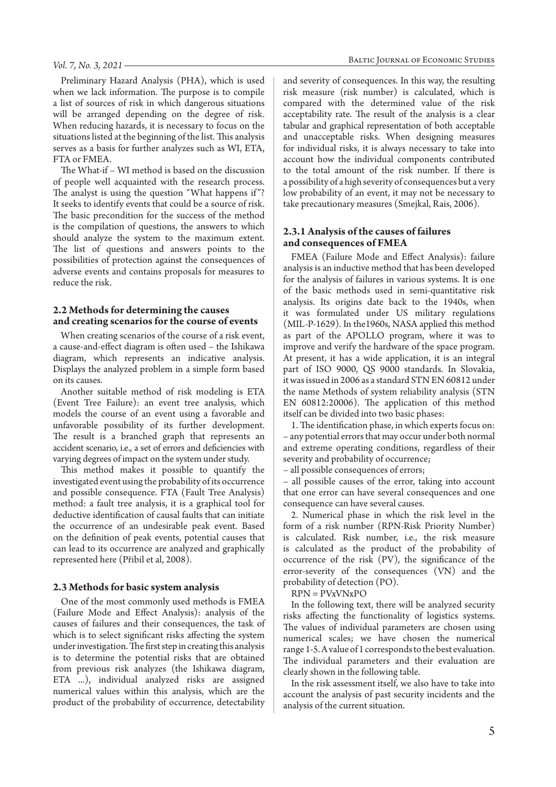Preliminary Hazard Analysis (PHA), which is used when we lack information. The purpose is to compile a list of sources of risk in which dangerous situations will be arranged depending on the degree of risk. When reducing hazards, it is necessary to focus on the situations listed at the beginning of the list. This analysis serves as a basis for further analyzes such as WI, ETA, FTA or FMEA.

The What-if – WI method is based on the discussion of people well acquainted with the research process. The analyst is using the question "What happens if"? It seeks to identify events that could be a source of risk. The basic precondition for the success of the method is the compilation of questions, the answers to which should analyze the system to the maximum extent. The list of questions and answers points to the possibilities of protection against the consequences of adverse events and contains proposals for measures to reduce the risk.

#### **2.2 Methods for determining the causes and creating scenarios for the course of events**

When creating scenarios of the course of a risk event, a cause-and-effect diagram is often used – the Ishikawa diagram, which represents an indicative analysis. Displays the analyzed problem in a simple form based on its causes.

Another suitable method of risk modeling is ETA (Event Tree Failure): an event tree analysis, which models the course of an event using a favorable and unfavorable possibility of its further development. The result is a branched graph that represents an accident scenario, i.e., a set of errors and deficiencies with varying degrees of impact on the system under study.

This method makes it possible to quantify the investigated event using the probability of its occurrence and possible consequence. FTA (Fault Tree Analysis) method: a fault tree analysis, it is a graphical tool for deductive identification of causal faults that can initiate the occurrence of an undesirable peak event. Based on the definition of peak events, potential causes that can lead to its occurrence are analyzed and graphically represented here (Přibil et al, 2008).

#### **2.3 Methods for basic system analysis**

One of the most commonly used methods is FMEA (Failure Mode and Effect Analysis): analysis of the causes of failures and their consequences, the task of which is to select significant risks affecting the system under investigation. The first step in creating this analysis is to determine the potential risks that are obtained from previous risk analyzes (the Ishikawa diagram, ETA ...), individual analyzed risks are assigned numerical values within this analysis, which are the product of the probability of occurrence, detectability

and severity of consequences. In this way, the resulting risk measure (risk number) is calculated, which is compared with the determined value of the risk acceptability rate. The result of the analysis is a clear tabular and graphical representation of both acceptable and unacceptable risks. When designing measures for individual risks, it is always necessary to take into account how the individual components contributed to the total amount of the risk number. If there is a possibility of a high severity of consequences but a very low probability of an event, it may not be necessary to take precautionary measures (Smejkal, Rais, 2006).

#### **2.3.1 Analysis of the causes of failures and consequences of FMEA**

FMEA (Failure Mode and Effect Analysis): failure analysis is an inductive method that has been developed for the analysis of failures in various systems. It is one of the basic methods used in semi-quantitative risk analysis. Its origins date back to the 1940s, when it was formulated under US military regulations (MIL-P-1629). In the1960s, NASA applied this method as part of the APOLLO program, where it was to improve and verify the hardware of the space program. At present, it has a wide application, it is an integral part of ISO 9000, QS 9000 standards. In Slovakia, it was issued in 2006 as a standard STN EN 60812 under the name Methods of system reliability analysis (STN EN 60812:20006). The application of this method itself can be divided into two basic phases:

1. The identification phase, in which experts focus on: – any potential errors that may occur under both normal and extreme operating conditions, regardless of their severity and probability of occurrence;

– all possible consequences of errors;

– all possible causes of the error, taking into account that one error can have several consequences and one consequence can have several causes.

2. Numerical phase in which the risk level in the form of a risk number (RPN-Risk Priority Number) is calculated. Risk number, i.e., the risk measure is calculated as the product of the probability of occurrence of the risk (PV), the significance of the error-severity of the consequences (VN) and the probability of detection (PO).

RPN = PVxVNxPO

In the following text, there will be analyzed security risks affecting the functionality of logistics systems. The values of individual parameters are chosen using numerical scales; we have chosen the numerical range 1-5. A value of 1 corresponds to the best evaluation. The individual parameters and their evaluation are clearly shown in the following table.

In the risk assessment itself, we also have to take into account the analysis of past security incidents and the analysis of the current situation.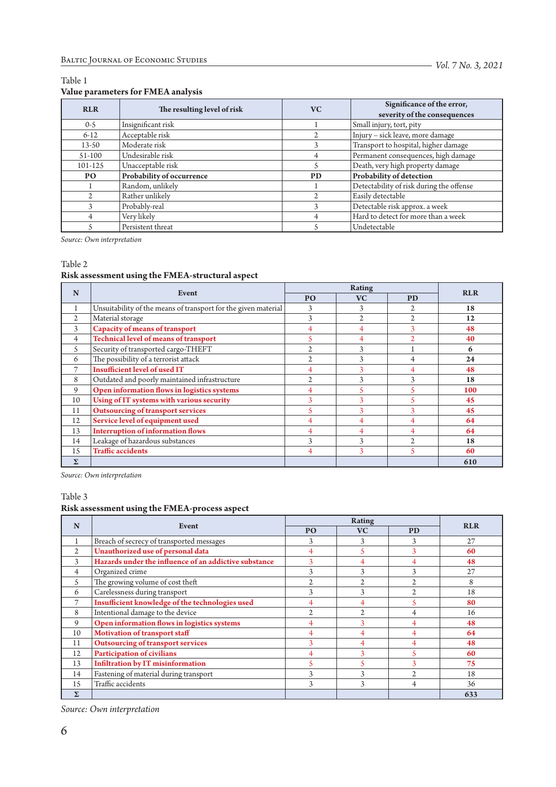# Table 1

## **Value parameters for FMEA analysis**

| <b>RLR</b> | The resulting level of risk | <b>VC</b> | Significance of the error,<br>severity of the consequences |  |  |
|------------|-----------------------------|-----------|------------------------------------------------------------|--|--|
| $0-5$      | Insignificant risk          |           | Small injury, tort, pity                                   |  |  |
| $6 - 12$   | Acceptable risk             |           | Injury - sick leave, more damage                           |  |  |
| $13 - 50$  | Moderate risk               | 3         | Transport to hospital, higher damage                       |  |  |
| $51-100$   | Undesirable risk            |           | Permanent consequences, high damage                        |  |  |
| 101-125    | Unacceptable risk           |           | Death, very high property damage                           |  |  |
| PO.        | Probability of occurrence   | <b>PD</b> | Probability of detection                                   |  |  |
|            | Random, unlikely            |           | Detectability of risk during the offense                   |  |  |
|            | Rather unlikely             |           | Easily detectable                                          |  |  |
|            | Probably-real               | 3         | Detectable risk approx. a week                             |  |  |
|            | Very likely                 |           | Hard to detect for more than a week                        |  |  |
|            | Persistent threat           |           | Undetectable                                               |  |  |

*Source: Own interpretation*

Table 2

#### **Risk assessment using the FMEA-structural aspect**

| N              | Event                                                          | <b>Rating</b>  |                |                | <b>RLR</b> |
|----------------|----------------------------------------------------------------|----------------|----------------|----------------|------------|
|                |                                                                | P <sub>O</sub> | <b>VC</b>      | <b>PD</b>      |            |
| 1              | Unsuitability of the means of transport for the given material | 3              | 3              |                | 18         |
| $\overline{2}$ | Material storage                                               |                | $\mathfrak{2}$ | $\mathfrak{2}$ | 12         |
| 3              | <b>Capacity of means of transport</b>                          |                | 4              | 3              | 48         |
| 4              | Technical level of means of transport                          | 5              | 4              |                | 40         |
| 5              | Security of transported cargo-THEFT                            |                | 3              |                | 6          |
| 6              | The possibility of a terrorist attack                          | $\mathfrak{2}$ | 3              | 4              | 24         |
| 7              | <b>Insufficient level of used IT</b>                           | 4              | 3              | 4              | 48         |
| 8              | Outdated and poorly maintained infrastructure                  | $\mathfrak{2}$ | 3              | 3              | 18         |
| 9              | Open information flows in logistics systems                    |                | 5              |                | 100        |
| 10             | Using of IT systems with various security                      | 3              | 3              |                | 45         |
| 11             | <b>Outsourcing of transport services</b>                       | 5              |                | 3              | 45         |
| 12             | Service level of equipment used                                | 4              | 4              | 4              | 64         |
| 13             | <b>Interruption of information flows</b>                       | 4              | 4              | 4              | 64         |
| 14             | Leakage of hazardous substances                                | 3              | 3              | $\mathfrak{D}$ | 18         |
| 15             | <b>Traffic accidents</b>                                       | 4              | 3              | 5              | 60         |
| $\Sigma$       |                                                                |                |                |                | 610        |

*Source: Own interpretation*

# Table 3

# **Risk assessment using the FMEA-process aspect**

| N              | Event                                                 | <b>Rating</b>  |                |                | <b>RLR</b> |
|----------------|-------------------------------------------------------|----------------|----------------|----------------|------------|
|                |                                                       | <b>PO</b>      | <b>VC</b>      | <b>PD</b>      |            |
| 1              | Breach of secrecy of transported messages             | 3              | 3              | 3              | 27         |
| $\overline{2}$ | Unauthorized use of personal data                     |                |                | 3              | 60         |
| 3              | Hazards under the influence of an addictive substance | 3              |                |                | 48         |
| 4              | Organized crime                                       | 3              | 3              | 3              | 27         |
| 5              | The growing volume of cost theft                      | $\mathfrak{2}$ | $\mathfrak{D}$ | $\mathfrak{2}$ | 8          |
| 6              | Carelessness during transport                         | 3              | 3              | $\mathfrak{2}$ | 18         |
| 7              | Insufficient knowledge of the technologies used       | 4              |                | 5              | 80         |
| 8              | Intentional damage to the device                      | $\overline{c}$ |                | 4              | 16         |
| 9              | Open information flows in logistics systems           | 4              |                | 4              | 48         |
| 10             | <b>Motivation of transport staff</b>                  | 4              |                | 4              | 64         |
| 11             | <b>Outsourcing of transport services</b>              | 3              | 4              | 4              | 48         |
| 12             | <b>Participation of civilians</b>                     | 4              | 3              | 5              | 60         |
| 13             | <b>Infiltration by IT misinformation</b>              | K              |                | 3              | 75         |
| 14             | Fastening of material during transport                | 3              | 3              | $\mathfrak{D}$ | 18         |
| 15             | Traffic accidents                                     | 3              | 3              | 4              | 36         |
| Σ              |                                                       |                |                |                | 633        |

*Source: Own interpretation*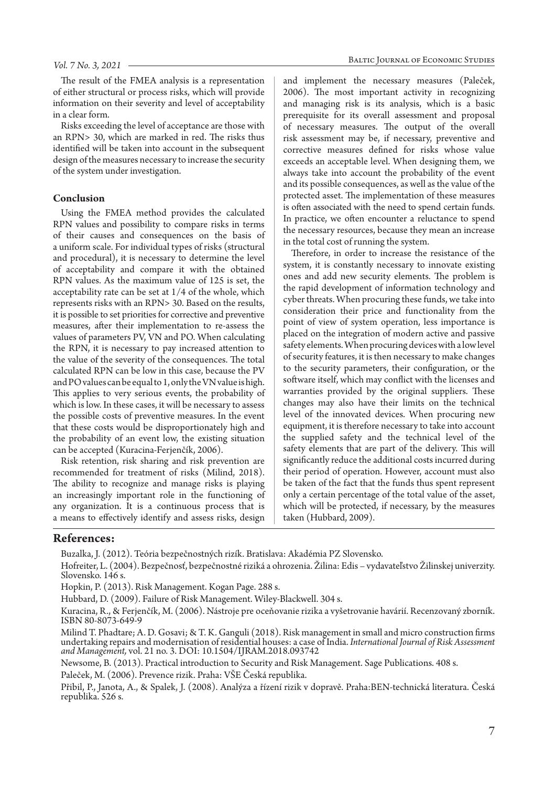The result of the FMEA analysis is a representation of either structural or process risks, which will provide information on their severity and level of acceptability in a clear form.

Risks exceeding the level of acceptance are those with an RPN> 30, which are marked in red. The risks thus identified will be taken into account in the subsequent design of the measures necessary to increase the security of the system under investigation.

#### **Conclusion**

Using the FMEA method provides the calculated RPN values and possibility to compare risks in terms of their causes and consequences on the basis of a uniform scale. For individual types of risks (structural and procedural), it is necessary to determine the level of acceptability and compare it with the obtained RPN values. As the maximum value of 125 is set, the acceptability rate can be set at 1/4 of the whole, which represents risks with an RPN> 30. Based on the results, it is possible to set priorities for corrective and preventive measures, after their implementation to re-assess the values of parameters PV, VN and PO. When calculating the RPN, it is necessary to pay increased attention to the value of the severity of the consequences. The total calculated RPN can be low in this case, because the PV and PO values can be equal to 1, only the VN value is high. This applies to very serious events, the probability of which is low. In these cases, it will be necessary to assess the possible costs of preventive measures. In the event that these costs would be disproportionately high and the probability of an event low, the existing situation can be accepted (Kuracina-Ferjenčík, 2006).

Risk retention, risk sharing and risk prevention are recommended for treatment of risks (Milind, 2018). The ability to recognize and manage risks is playing an increasingly important role in the functioning of any organization. It is a continuous process that is a means to effectively identify and assess risks, design

and implement the necessary measures (Paleček, 2006). The most important activity in recognizing and managing risk is its analysis, which is a basic prerequisite for its overall assessment and proposal of necessary measures. The output of the overall risk assessment may be, if necessary, preventive and corrective measures defined for risks whose value exceeds an acceptable level. When designing them, we always take into account the probability of the event and its possible consequences, as well as the value of the protected asset. The implementation of these measures is often associated with the need to spend certain funds. In practice, we often encounter a reluctance to spend the necessary resources, because they mean an increase in the total cost of running the system.

Therefore, in order to increase the resistance of the system, it is constantly necessary to innovate existing ones and add new security elements. The problem is the rapid development of information technology and cyber threats. When procuring these funds, we take into consideration their price and functionality from the point of view of system operation, less importance is placed on the integration of modern active and passive safety elements. When procuring devices with a low level of security features, it is then necessary to make changes to the security parameters, their configuration, or the software itself, which may conflict with the licenses and warranties provided by the original suppliers. These changes may also have their limits on the technical level of the innovated devices. When procuring new equipment, it is therefore necessary to take into account the supplied safety and the technical level of the safety elements that are part of the delivery. This will significantly reduce the additional costs incurred during their period of operation. However, account must also be taken of the fact that the funds thus spent represent only a certain percentage of the total value of the asset, which will be protected, if necessary, by the measures taken (Hubbard, 2009).

#### **References:**

Buzalka, J. (2012). Teória bezpečnostných rizík. Bratislava: Akadémia PZ Slovensko.

Hofreiter, L. (2004). Bezpečnosť, bezpečnostné riziká a ohrozenia. Žilina: Edis – vydavateľstvo Žilinskej univerzity. Slovensko. 146 s.

Hopkin, P. (2013). Risk Management. Kogan Page. 288 s.

Hubbard, D. (2009). Failure of Risk Management. Wiley-Blackwell. 304 s.

Kuracina, R., & Ferjenčík, M. (2006). Nástroje pre oceňovanie rizika a vyšetrovanie havárií. Recenzovaný zborník. ISBN 80-8073-649-9

Milind T. Phadtare; A. D. Gosavi; & T. K. Ganguli (2018). Risk management in small and micro construction firms undertaking repairs and modernisation of residential houses: a case of India. *International Journal of Risk Assessment and Management,* vol. 21 no. 3. DOI: 10.1504/IJRAM.2018.093742

Newsome, B. (2013). Practical introduction to Security and Risk Management. Sage Publications. 408 s.

Paleček, M. (2006). Prevence rizik. Praha: VŠE Česká republika.

Přibil, P., Janota, A., & Spalek, J. (2008). Analýza a řízení rizik v dopravě. Praha:BEN-technická literatura. Česká republika. 526 s.